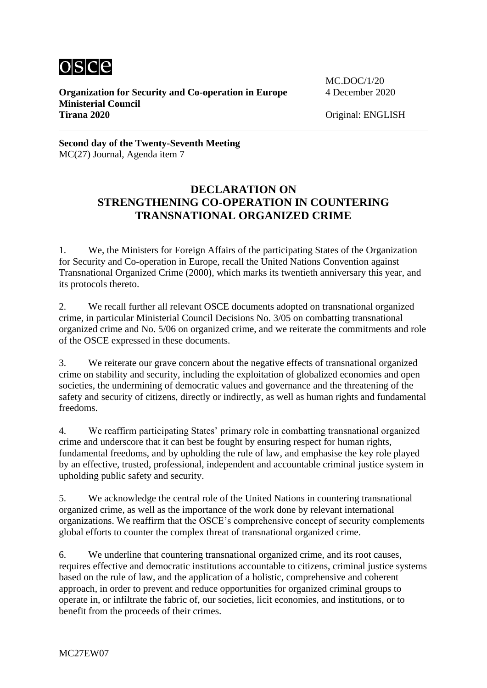

**Organization for Security and Co-operation in Europe** 4 December 2020 **Ministerial Council Tirana 2020** Original: ENGLISH

MC.DOC/1/20

**Second day of the Twenty-Seventh Meeting** MC(27) Journal, Agenda item 7

## **DECLARATION ON STRENGTHENING CO-OPERATION IN COUNTERING TRANSNATIONAL ORGANIZED CRIME**

1. We, the Ministers for Foreign Affairs of the participating States of the Organization for Security and Co-operation in Europe, recall the United Nations Convention against Transnational Organized Crime (2000), which marks its twentieth anniversary this year, and its protocols thereto.

2. We recall further all relevant OSCE documents adopted on transnational organized crime, in particular Ministerial Council Decisions No. 3/05 on combatting transnational organized crime and No. 5/06 on organized crime, and we reiterate the commitments and role of the OSCE expressed in these documents.

3. We reiterate our grave concern about the negative effects of transnational organized crime on stability and security, including the exploitation of globalized economies and open societies, the undermining of democratic values and governance and the threatening of the safety and security of citizens, directly or indirectly, as well as human rights and fundamental freedoms.

4. We reaffirm participating States' primary role in combatting transnational organized crime and underscore that it can best be fought by ensuring respect for human rights, fundamental freedoms, and by upholding the rule of law, and emphasise the key role played by an effective, trusted, professional, independent and accountable criminal justice system in upholding public safety and security.

5. We acknowledge the central role of the United Nations in countering transnational organized crime, as well as the importance of the work done by relevant international organizations. We reaffirm that the OSCE's comprehensive concept of security complements global efforts to counter the complex threat of transnational organized crime.

6. We underline that countering transnational organized crime, and its root causes, requires effective and democratic institutions accountable to citizens, criminal justice systems based on the rule of law, and the application of a holistic, comprehensive and coherent approach, in order to prevent and reduce opportunities for organized criminal groups to operate in, or infiltrate the fabric of, our societies, licit economies, and institutions, or to benefit from the proceeds of their crimes.